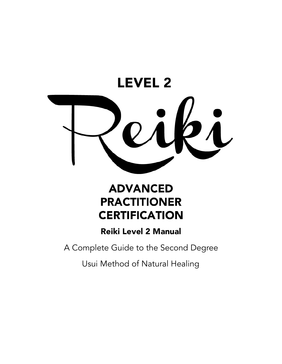

# **ADVANCED PRACTITIONER CERTIFICATION**

# Reiki Level 2 Manual

A Complete Guide to the Second Degree

Usui Method of Natural Healing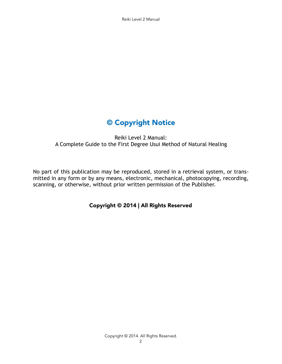Reiki Level 2 Manual

# © Copyright Notice

Reiki Level 2 Manual: A Complete Guide to the First Degree Usui Method of Natural Healing

No part of this publication may be reproduced, stored in a retrieval system, or transmitted in any form or by any means, electronic, mechanical, photocopying, recording, scanning, or otherwise, without prior written permission of the Publisher.

Copyright © 2014 | All Rights Reserved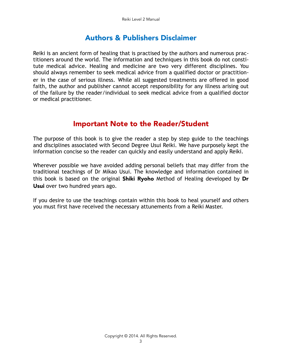# Authors & Publishers Disclaimer

Reiki is an ancient form of healing that is practised by the authors and numerous practitioners around the world. The information and techniques in this book do not constitute medical advice. Healing and medicine are two very different disciplines. You should always remember to seek medical advice from a qualified doctor or practitioner in the case of serious illness. While all suggested treatments are offered in good faith, the author and publisher cannot accept responsibility for any illness arising out of the failure by the reader/individual to seek medical advice from a qualified doctor or medical practitioner.

# Important Note to the Reader/Student

The purpose of this book is to give the reader a step by step guide to the teachings and disciplines associated with Second Degree Usui Reiki. We have purposely kept the information concise so the reader can quickly and easily understand and apply Reiki.

Wherever possible we have avoided adding personal beliefs that may differ from the traditional teachings of Dr Mikao Usui. The knowledge and information contained in this book is based on the original **Shiki Ryoho** Method of Healing developed by **Dr** Usui over two hundred years ago.

If you desire to use the teachings contain within this book to heal yourself and others you must first have received the necessary attunements from a Reiki Master.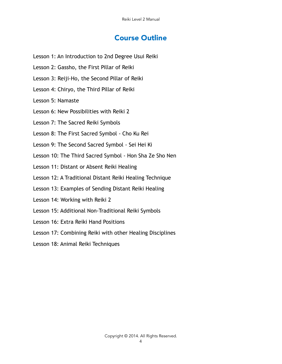# Course Outline

- Lesson 1: An Introduction to 2nd Degree Usui Reiki
- Lesson 2: Gassho, the First Pillar of Reiki
- Lesson 3: Reiji-Ho, the Second Pillar of Reiki
- Lesson 4: Chiryo, the Third Pillar of Reiki
- Lesson 5: Namaste
- Lesson 6: New Possibilities with Reiki 2
- Lesson 7: The Sacred Reiki Symbols
- Lesson 8: The First Sacred Symbol Cho Ku Rei
- Lesson 9: The Second Sacred Symbol Sei Hei Ki
- Lesson 10: The Third Sacred Symbol Hon Sha Ze Sho Nen
- Lesson 11: Distant or Absent Reiki Healing
- Lesson 12: A Traditional Distant Reiki Healing Technique
- Lesson 13: Examples of Sending Distant Reiki Healing
- Lesson 14: Working with Reiki 2
- Lesson 15: Additional Non-Traditional Reiki Symbols
- Lesson 16: Extra Reiki Hand Positions
- Lesson 17: Combining Reiki with other Healing Disciplines
- Lesson 18: Animal Reiki Techniques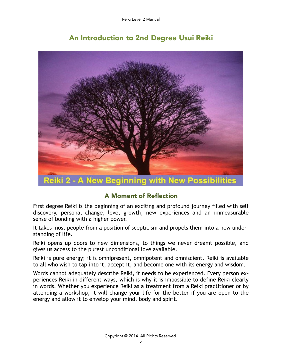# An Introduction to 2nd Degree Usui Reiki



eiki 2 - A New Beginning with New Possibilities

# A Moment of Reflection

First degree Reiki is the beginning of an exciting and profound journey filled with self discovery, personal change, love, growth, new experiences and an immeasurable sense of bonding with a higher power.

It takes most people from a position of scepticism and propels them into a new understanding of life.

Reiki opens up doors to new dimensions, to things we never dreamt possible, and gives us access to the purest unconditional love available.

Reiki is pure energy; it is omnipresent, omnipotent and omniscient. Reiki is available to all who wish to tap into it, accept it, and become one with its energy and wisdom.

Words cannot adequately describe Reiki, it needs to be experienced. Every person experiences Reiki in different ways, which is why it is impossible to define Reiki clearly in words. Whether you experience Reiki as a treatment from a Reiki practitioner or by attending a workshop, it will change your life for the better if you are open to the energy and allow it to envelop your mind, body and spirit.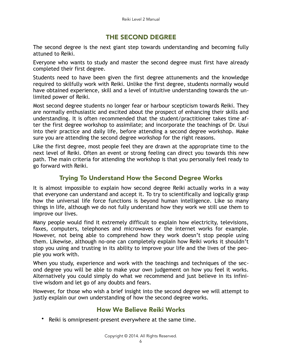## THE SECOND DEGREE

The second degree is the next giant step towards understanding and becoming fully attuned to Reiki.

Everyone who wants to study and master the second degree must first have already completed their first degree.

Students need to have been given the first degree attunements and the knowledge required to skilfully work with Reiki. Unlike the first degree, students normally would have obtained experience, skill and a level of intuitive understanding towards the unlimited power of Reiki.

Most second degree students no longer fear or harbour scepticism towards Reiki. They are normally enthusiastic and excited about the prospect of enhancing their skills and understanding. It is often recommended that the student/practitioner takes time after the first degree workshop to assimilate; and incorporate the teachings of Dr. Usui into their practice and daily life, before attending a second degree workshop. Make sure you are attending the second degree workshop for the right reasons.

Like the first degree, most people feel they are drawn at the appropriate time to the next level of Reiki. Often an event or strong feeling can direct you towards this new path. The main criteria for attending the workshop is that you personally feel ready to go forward with Reiki.

# Trying To Understand How the Second Degree Works

It is almost impossible to explain how second degree Reiki actually works in a way that everyone can understand and accept it. To try to scientifically and logically grasp how the universal life force functions is beyond human intelligence. Like so many things in life, although we do not fully understand how they work we still use them to improve our lives.

Many people would find it extremely difficult to explain how electricity, televisions, faxes, computers, telephones and microwaves or the internet works for example. However, not being able to comprehend how they work doesn't stop people using them. Likewise, although no-one can completely explain how Reiki works it shouldn't stop you using and trusting in its ability to improve your life and the lives of the people you work with.

When you study, experience and work with the teachings and techniques of the second degree you will be able to make your own judgement on how you feel it works. Alternatively you could simply do what we recommend and just believe in its infinitive wisdom and let go of any doubts and fears.

However, for those who wish a brief insight into the second degree we will attempt to justly explain our own understanding of how the second degree works.

## How We Believe Reiki Works

• Reiki is omnipresent-present everywhere at the same time.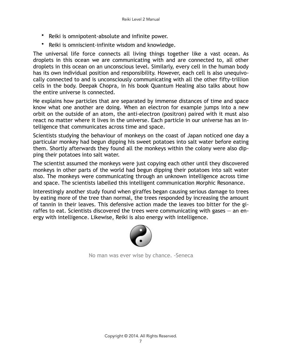- Reiki is omnipotent-absolute and infinite power.
- Reiki is omniscient-infinite wisdom and knowledge.

The universal life force connects all living things together like a vast ocean. As droplets in this ocean we are communicating with and are connected to, all other droplets in this ocean on an unconscious level. Similarly, every cell in the human body has its own individual position and responsibility. However, each cell is also unequivocally connected to and is unconsciously communicating with all the other fifty-trillion cells in the body. Deepak Chopra, in his book Quantum Healing also talks about how the entire universe is connected.

He explains how particles that are separated by immense distances of time and space know what one another are doing. When an electron for example jumps into a new orbit on the outside of an atom, the anti-electron (positron) paired with it must also react no matter where it lives in the universe. Each particle in our universe has an intelligence that communicates across time and space.

Scientists studying the behaviour of monkeys on the coast of Japan noticed one day a particular monkey had begun dipping his sweet potatoes into salt water before eating them. Shortly afterwards they found all the monkeys within the colony were also dipping their potatoes into salt water.

The scientist assumed the monkeys were just copying each other until they discovered monkeys in other parts of the world had begun dipping their potatoes into salt water also. The monkeys were communicating through an unknown intelligence across time and space. The scientists labelled this intelligent communication Morphic Resonance.

Interestingly another study found when giraffes began causing serious damage to trees by eating more of the tree than normal, the trees responded by increasing the amount of tannin in their leaves. This defensive action made the leaves too bitter for the giraffes to eat. Scientists discovered the trees were communicating with gases — an energy with intelligence. Likewise, Reiki is also energy with intelligence.



No man was ever wise by chance. -Seneca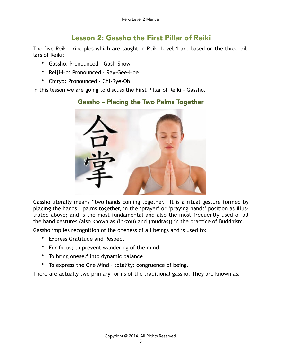# Lesson 2: Gassho the First Pillar of Reiki

The five Reiki principles which are taught in Reiki Level 1 are based on the three pillars of Reiki:

Gassho – Placing the Two Palms Together

- Gassho: Pronounced Gash-Show
- Reiji-Ho: Pronounced Ray-Gee-Hoe
- Chiryo: Pronounced Chi-Rye-Oh

In this lesson we are going to discuss the First Pillar of Reiki – Gassho.

Gassho literally means "two hands coming together." It is a ritual gesture formed by placing the hands – palms together, in the 'prayer' or 'praying hands' position as illustrated above; and is the most fundamental and also the most frequently used of all the hand gestures (also known as (in-zou) and (mudras)) in the practice of Buddhism.

Gassho implies recognition of the oneness of all beings and is used to:

- Express Gratitude and Respect
- For focus; to prevent wandering of the mind
- To bring oneself into dynamic balance
- To express the One Mind totality: congruence of being.

There are actually two primary forms of the traditional gassho: They are known as: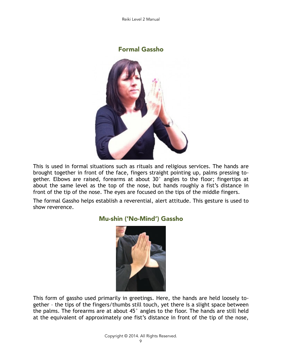

This is used in formal situations such as rituals and religious services. The hands are brought together in front of the face, fingers straight pointing up, palms pressing together. Elbows are raised, forearms at about 30° angles to the floor; fingertips at about the same level as the top of the nose, but hands roughly a fist's distance in front of the tip of the nose. The eyes are focused on the tips of the middle fingers.

The formal Gassho helps establish a reverential, alert attitude. This gesture is used to show reverence.



# Mu-shin ('No-Mind') Gassho

This form of gassho used primarily in greetings. Here, the hands are held loosely together – the tips of the fingers/thumbs still touch, yet there is a slight space between the palms. The forearms are at about 45° angles to the floor. The hands are still held at the equivalent of approximately one fist's distance in front of the tip of the nose,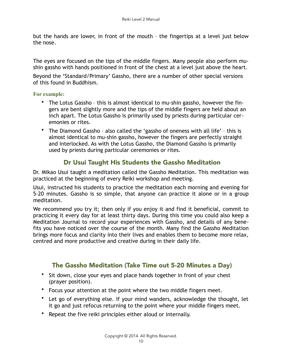but the hands are lower, in front of the mouth – the fingertips at a level just below the nose.

The eyes are focused on the tips of the middle fingers. Many people also perform mushin gassho with hands positioned in front of the chest at a level just above the heart.

Beyond the 'Standard/Primary' Gassho, there are a number of other special versions of this found in Buddhism.

#### **For example:**

- The Lotus Gassho this is almost identical to mu-shin gassho, however the fingers are bent slightly more and the tips of the middle fingers are held about an inch apart. The Lotus Gassho is primarily used by priests during particular ceremonies or rites.
- The Diamond Gassho also called the 'gassho of oneness with all life' this is almost identical to mu-shin gassho, however the fingers are perfectly straight and interlocked. As with the Lotus Gassho, the Diamond Gassho is primarily used by priests during particular ceremonies or rites.

## Dr Usui Taught His Students the Gassho Meditation

Dr. Mikao Usui taught a meditation called the Gassho Meditation. This meditation was practiced at the beginning of every Reiki workshop and meeting.

Usui, instructed his students to practice the meditation each morning and evening for 5-20 minutes. Gassho is so simple, that anyone can practice it alone or in a group meditation.

We recommend you try it; then only if you enjoy it and find it beneficial, commit to practicing it every day for at least thirty days. During this time you could also keep a Meditation Journal to record your experiences with Gassho, and details of any benefits you have noticed over the course of the month. Many find the Gassho Meditation brings more focus and clarity into their lives and enables them to become more relax, centred and more productive and creative during in their daily life.

## The Gassho Meditation (Take Time out 5-20 Minutes a Day)

- Sit down, close your eyes and place hands together in front of your chest (prayer position).
- Focus your attention at the point where the two middle fingers meet.
- Let go of everything else. If your mind wanders, acknowledge the thought, let it go and just refocus returning to the point where your middle fingers meet.
- Repeat the five reiki principles either aloud or internally.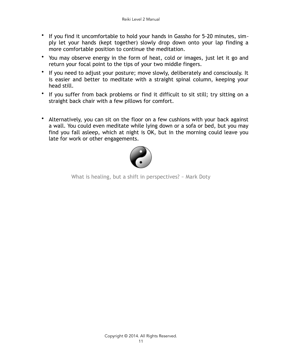- If you find it uncomfortable to hold your hands in Gassho for 5-20 minutes, simply let your hands (kept together) slowly drop down onto your lap finding a more comfortable position to continue the meditation.
- You may observe energy in the form of heat, cold or images, just let it go and return your focal point to the tips of your two middle fingers.
- If you need to adjust your posture; move slowly, deliberately and consciously. It is easier and better to meditate with a straight spinal column, keeping your head still.
- If you suffer from back problems or find it difficult to sit still; try sitting on a straight back chair with a few pillows for comfort.
- Alternatively, you can sit on the floor on a few cushions with your back against a wall. You could even meditate while lying down or a sofa or bed, but you may find you fall asleep, which at night is OK, but in the morning could leave you late for work or other engagements.



What is healing, but a shift in perspectives? ~ Mark Doty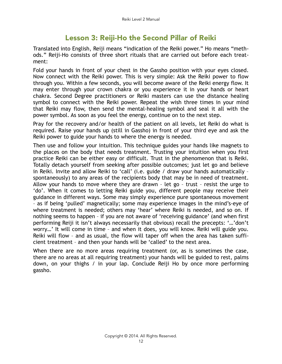# Lesson 3: Reiji-Ho the Second Pillar of Reiki

Translated into English, Reiji means "indication of the Reiki power." Ho means "methods." Reiji-Ho consists of three short rituals that are carried out before each treatment:

Fold your hands in front of your chest in the Gassho position with your eyes closed. Now connect with the Reiki power. This is very simple: Ask the Reiki power to flow through you. Within a few seconds, you will become aware of the Reiki energy flow. It may enter through your crown chakra or you experience it in your hands or heart chakra. Second Degree practitioners or Reiki masters can use the distance healing symbol to connect with the Reiki power. Repeat the wish three times in your mind that Reiki may flow, then send the mental-healing symbol and seal it all with the power symbol. As soon as you feel the energy, continue on to the next step.

Pray for the recovery and/or health of the patient on all levels, let Reiki do what is required. Raise your hands up (still in Gassho) in front of your third eye and ask the Reiki power to guide your hands to where the energy is needed.

Then use and follow your intuition. This technique guides your hands like magnets to the places on the body that needs treatment. Trusting your intuition when you first practice Reiki can be either easy or difficult. Trust in the phenomenon that is Reiki. Totally detach yourself from seeking after possible outcomes; just let go and believe in Reiki. Invite and allow Reiki to 'call' (i.e. guide / draw your hands automatically – spontaneously) to any areas of the recipients body that may be in need of treatment. Allow your hands to move where they are drawn – let go – trust – resist the urge to 'do'. When it comes to letting Reiki guide you, different people may receive their guidance in different ways. Some may simply experience pure spontaneous movement – as if being 'pulled' magnetically; some may experience images in the mind's-eye of where treatment is needed; others may 'hear' where Reiki is needed, and so on. If nothing seems to happen – if you are not aware of 'receiving guidance' (and when first performing Reiji it isn't always necessarily that obvious) recall the precepts: '…'don't worry…' It will come in time – and when it does, you will know. Reiki will guide you. Reiki will flow – and as usual, the flow will taper off when the area has taken sufficient treatment – and then your hands will be 'called' to the next area.

When there are no more areas requiring treatment (or, as is sometimes the case, there are no areas at all requiring treatment) your hands will be guided to rest, palms down, on your thighs / in your lap. Conclude Reiji Ho by once more performing gassho.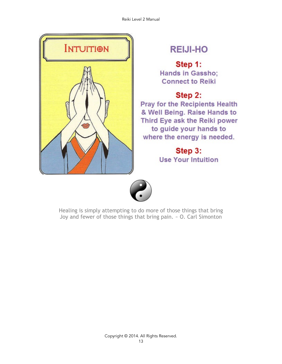

# **REIJI-HO**

Step 1: **Hands in Gassho: Connect to Reiki** 

# Step 2:

**Pray for the Recipients Health** & Well Being. Raise Hands to Third Eye ask the Reiki power to guide your hands to where the energy is needed.

> Step 3: **Use Your Intuition**



Healing is simply attempting to do more of those things that bring Joy and fewer of those things that bring pain. ~ O. Carl Simonton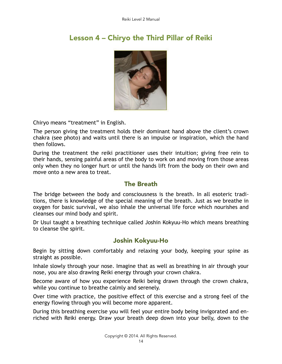

# Lesson 4 – Chiryo the Third Pillar of Reiki

Chiryo means "treatment" in English.

The person giving the treatment holds their dominant hand above the client's crown chakra (see photo) and waits until there is an impulse or inspiration, which the hand then follows.

During the treatment the reiki practitioner uses their intuition; giving free rein to their hands, sensing painful areas of the body to work on and moving from those areas only when they no longer hurt or until the hands lift from the body on their own and move onto a new area to treat.

## The Breath

The bridge between the body and consciousness is the breath. In all esoteric traditions, there is knowledge of the special meaning of the breath. Just as we breathe in oxygen for basic survival, we also inhale the universal life force which nourishes and cleanses our mind body and spirit.

Dr Usui taught a breathing technique called Joshin Kokyuu-Ho which means breathing to cleanse the spirit.

# Joshin Kokyuu-Ho

Begin by sitting down comfortably and relaxing your body, keeping your spine as straight as possible.

Inhale slowly through your nose. Imagine that as well as breathing in air through your nose, you are also drawing Reiki energy through your crown chakra.

Become aware of how you experience Reiki being drawn through the crown chakra, while you continue to breathe calmly and serenely.

Over time with practice, the positive effect of this exercise and a strong feel of the energy flowing through you will become more apparent.

During this breathing exercise you will feel your entire body being invigorated and enriched with Reiki energy. Draw your breath deep down into your belly, down to the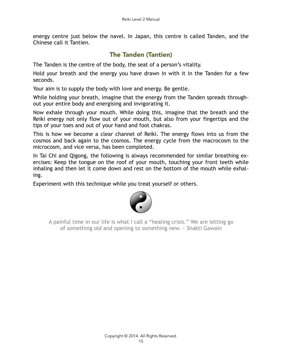energy centre just below the navel. In Japan, this centre is called Tanden, and the Chinese call it Tantien.

# The Tanden (Tantien)

The Tanden is the centre of the body, the seat of a person's vitality.

Hold your breath and the energy you have drawn in with it in the Tanden for a few seconds.

Your aim is to supply the body with love and energy. Be gentle.

While holding your breath, imagine that the energy from the Tanden spreads throughout your entire body and energising and invigorating it.

Now exhale through your mouth. While doing this, imagine that the breath and the Reiki energy not only flow out of your mouth, but also from your fingertips and the tips of your toes and out of your hand and foot chakras.

This is how we become a clear channel of Reiki. The energy flows into us from the cosmos and back again to the cosmos. The energy cycle from the macrocosm to the microcosm, and vice versa, has been completed.

In Tai Chi and Qigong, the following is always recommended for similar breathing exercises: Keep the tongue on the roof of your mouth, touching your front teeth while inhaling and then let it come down and rest on the bottom of the mouth while exhaling.

Experiment with this technique while you treat yourself or others.



A painful time in our life is what I call a "healing crisis." We are letting go of something old and opening to something new. ~ Shakti Gawain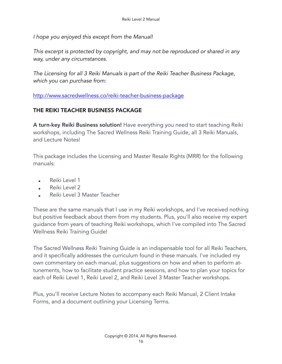*I hope you enjoyed this except from the Manual!* 

*This excerpt is protected by copyright, and may not be reproduced or shared in any way, under any circumstances.* 

*The Licensing for all 3 Reiki Manuals is part of the Reiki Teacher Business Package, which you can purchase from:* 

<http://www.sacredwellness.co/reiki-teacher-business-package>

## THE REIKI TEACHER BUSINESS PACKAGE

A turn-key Reiki Business solution! Have everything you need to start teaching Reiki workshops, including The Sacred Wellness Reiki Training Guide, all 3 Reiki Manuals, and Lecture Notes!

This package includes the Licensing and Master Resale Rights (MRR) for the following manuals:

- Reiki Level 1
- Reiki Level 2
- Reiki Level 3 Master Teacher

These are the same manuals that I use in my Reiki workshops, and I've received nothing but positive feedback about them from my students. Plus, you'll also receive my expert guidance from years of teaching Reiki workshops, which I've compiled into The Sacred Wellness Reiki Training Guide!

The Sacred Wellness Reiki Training Guide is an indispensable tool for all Reiki Teachers, and it specifically addresses the curriculum found in these manuals. I've included my own commentary on each manual, plus suggestions on how and when to perform attunements, how to facilitate student practice sessions, and how to plan your topics for each of Reiki Level 1, Reiki Level 2, and Reiki Level 3 Master Teacher workshops.

Plus, you'll receive Lecture Notes to accompany each Reiki Manual, 2 Client Intake Forms, and a document outlining your Licensing Terms.